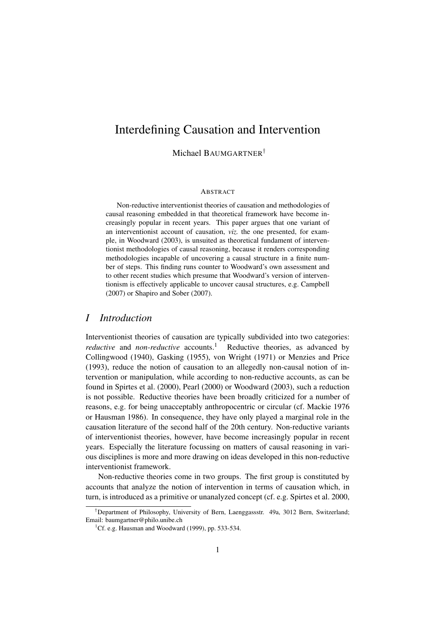# Interdefining Causation and Intervention

Michael BAUMGARTNER†

#### **ABSTRACT**

Non-reductive interventionist theories of causation and methodologies of causal reasoning embedded in that theoretical framework have become increasingly popular in recent years. This paper argues that one variant of an interventionist account of causation, *viz.* the one presented, for example, in Woodward (2003), is unsuited as theoretical fundament of interventionist methodologies of causal reasoning, because it renders corresponding methodologies incapable of uncovering a causal structure in a finite number of steps. This finding runs counter to Woodward's own assessment and to other recent studies which presume that Woodward's version of interventionism is effectively applicable to uncover causal structures, e.g. Campbell (2007) or Shapiro and Sober (2007).

## *I Introduction*

Interventionist theories of causation are typically subdivided into two categories: *reductive* and *non-reductive* accounts.<sup>1</sup> Reductive theories, as advanced by Collingwood (1940), Gasking (1955), von Wright (1971) or Menzies and Price (1993), reduce the notion of causation to an allegedly non-causal notion of intervention or manipulation, while according to non-reductive accounts, as can be found in Spirtes et al. (2000), Pearl (2000) or Woodward (2003), such a reduction is not possible. Reductive theories have been broadly criticized for a number of reasons, e.g. for being unacceptably anthropocentric or circular (cf. Mackie 1976 or Hausman 1986). In consequence, they have only played a marginal role in the causation literature of the second half of the 20th century. Non-reductive variants of interventionist theories, however, have become increasingly popular in recent years. Especially the literature focussing on matters of causal reasoning in various disciplines is more and more drawing on ideas developed in this non-reductive interventionist framework.

Non-reductive theories come in two groups. The first group is constituted by accounts that analyze the notion of intervention in terms of causation which, in turn, is introduced as a primitive or unanalyzed concept (cf. e.g. Spirtes et al. 2000,

<sup>†</sup>Department of Philosophy, University of Bern, Laenggassstr. 49a, 3012 Bern, Switzerland; Email: baumgartner@philo.unibe.ch

<sup>&</sup>lt;sup>1</sup>Cf. e.g. Hausman and Woodward (1999), pp. 533-534.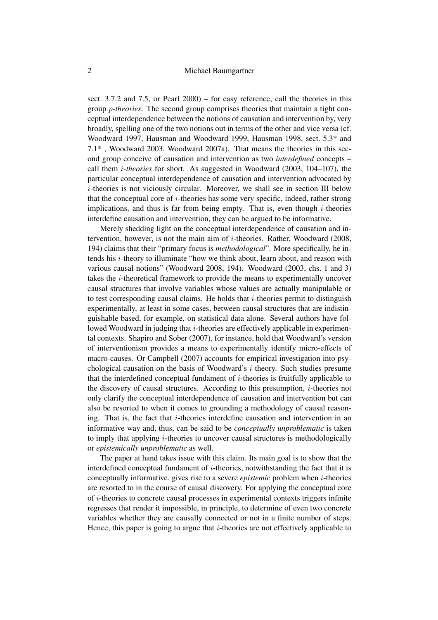sect. 3.7.2 and 7.5, or Pearl 2000) – for easy reference, call the theories in this group p*-theories*. The second group comprises theories that maintain a tight conceptual interdependence between the notions of causation and intervention by, very broadly, spelling one of the two notions out in terms of the other and vice versa (cf. Woodward 1997, Hausman and Woodward 1999, Hausman 1998, sect. 5.3\* and 7.1\* , Woodward 2003, Woodward 2007a). That means the theories in this second group conceive of causation and intervention as two *interdefined* concepts – call them i*-theories* for short. As suggested in Woodward (2003, 104–107), the particular conceptual interdependence of causation and intervention advocated by i-theories is not viciously circular. Moreover, we shall see in section III below that the conceptual core of  $i$ -theories has some very specific, indeed, rather strong implications, and thus is far from being empty. That is, even though  $i$ -theories interdefine causation and intervention, they can be argued to be informative.

Merely shedding light on the conceptual interdependence of causation and intervention, however, is not the main aim of  $i$ -theories. Rather, Woodward (2008, 194) claims that their "primary focus is *methodological*". More specifically, he intends his  $i$ -theory to illuminate "how we think about, learn about, and reason with various causal notions" (Woodward 2008, 194). Woodward (2003, chs. 1 and 3) takes the  $i$ -theoretical framework to provide the means to experimentally uncover causal structures that involve variables whose values are actually manipulable or to test corresponding causal claims. He holds that  $i$ -theories permit to distinguish experimentally, at least in some cases, between causal structures that are indistinguishable based, for example, on statistical data alone. Several authors have followed Woodward in judging that i-theories are effectively applicable in experimental contexts. Shapiro and Sober (2007), for instance, hold that Woodward's version of interventionism provides a means to experimentally identify micro-effects of macro-causes. Or Campbell (2007) accounts for empirical investigation into psychological causation on the basis of Woodward's i-theory. Such studies presume that the interdefined conceptual fundament of  $i$ -theories is fruitfully applicable to the discovery of causal structures. According to this presumption, i-theories not only clarify the conceptual interdependence of causation and intervention but can also be resorted to when it comes to grounding a methodology of causal reasoning. That is, the fact that i-theories interdefine causation and intervention in an informative way and, thus, can be said to be *conceptually unproblematic* is taken to imply that applying *i*-theories to uncover causal structures is methodologically or *epistemically unproblematic* as well.

The paper at hand takes issue with this claim. Its main goal is to show that the interdefined conceptual fundament of  $i$ -theories, notwithstanding the fact that it is conceptually informative, gives rise to a severe *epistemic* problem when i-theories are resorted to in the course of causal discovery. For applying the conceptual core of i-theories to concrete causal processes in experimental contexts triggers infinite regresses that render it impossible, in principle, to determine of even two concrete variables whether they are causally connected or not in a finite number of steps. Hence, this paper is going to argue that *i*-theories are not effectively applicable to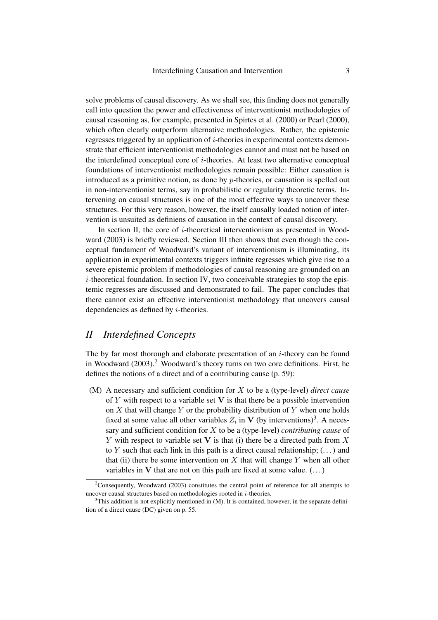solve problems of causal discovery. As we shall see, this finding does not generally call into question the power and effectiveness of interventionist methodologies of causal reasoning as, for example, presented in Spirtes et al. (2000) or Pearl (2000), which often clearly outperform alternative methodologies. Rather, the epistemic regresses triggered by an application of i-theories in experimental contexts demonstrate that efficient interventionist methodologies cannot and must not be based on the interdefined conceptual core of  $i$ -theories. At least two alternative conceptual foundations of interventionist methodologies remain possible: Either causation is introduced as a primitive notion, as done by  $p$ -theories, or causation is spelled out in non-interventionist terms, say in probabilistic or regularity theoretic terms. Intervening on causal structures is one of the most effective ways to uncover these structures. For this very reason, however, the itself causally loaded notion of intervention is unsuited as definiens of causation in the context of causal discovery.

In section II, the core of *i*-theoretical interventionism as presented in Woodward (2003) is briefly reviewed. Section III then shows that even though the conceptual fundament of Woodward's variant of interventionism is illuminating, its application in experimental contexts triggers infinite regresses which give rise to a severe epistemic problem if methodologies of causal reasoning are grounded on an  $i$ -theoretical foundation. In section IV, two conceivable strategies to stop the epistemic regresses are discussed and demonstrated to fail. The paper concludes that there cannot exist an effective interventionist methodology that uncovers causal dependencies as defined by i-theories.

# *II Interdefined Concepts*

The by far most thorough and elaborate presentation of an  $i$ -theory can be found in Woodward (2003).<sup>2</sup> Woodward's theory turns on two core definitions. First, he defines the notions of a direct and of a contributing cause (p. 59):

(M) A necessary and sufficient condition for X to be a (type-level) *direct cause* of Y with respect to a variable set  $V$  is that there be a possible intervention on  $X$  that will change  $Y$  or the probability distribution of  $Y$  when one holds fixed at some value all other variables  $Z_i$  in V (by interventions)<sup>3</sup>. A necessary and sufficient condition for X to be a (type-level) *contributing cause* of Y with respect to variable set V is that (i) there be a directed path from X to Y such that each link in this path is a direct causal relationship;  $( \dots )$  and that (ii) there be some intervention on  $X$  that will change  $Y$  when all other variables in  $V$  that are not on this path are fixed at some value.  $(\dots)$ 

<sup>&</sup>lt;sup>2</sup>Consequently, Woodward (2003) constitutes the central point of reference for all attempts to uncover causal structures based on methodologies rooted in  $i$ -theories.

 $3$ This addition is not explicitly mentioned in  $(M)$ . It is contained, however, in the separate definition of a direct cause (DC) given on p. 55.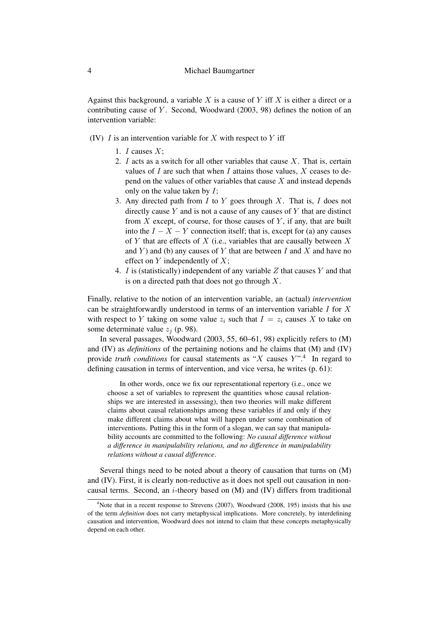Against this background, a variable  $X$  is a cause of  $Y$  iff  $X$  is either a direct or a contributing cause of Y. Second, Woodward  $(2003, 98)$  defines the notion of an intervention variable:

(IV)  $I$  is an intervention variable for  $X$  with respect to  $Y$  iff

- 1.  $I$  causes  $X$ :
- 2. I acts as a switch for all other variables that cause  $X$ . That is, certain values of  $I$  are such that when  $I$  attains those values,  $X$  ceases to depend on the values of other variables that cause  $X$  and instead depends only on the value taken by  $I$ ;
- 3. Any directed path from  $I$  to  $Y$  goes through  $X$ . That is,  $I$  does not directly cause  $Y$  and is not a cause of any causes of  $Y$  that are distinct from  $X$  except, of course, for those causes of  $Y$ , if any, that are built into the  $I - X - Y$  connection itself; that is, except for (a) any causes of Y that are effects of X (i.e., variables that are causally between X and  $Y$ ) and (b) any causes of  $Y$  that are between  $I$  and  $X$  and have no effect on  $Y$  independently of  $X$ ;
- 4. I is (statistically) independent of any variable  $Z$  that causes  $Y$  and that is on a directed path that does not go through  $X$ .

Finally, relative to the notion of an intervention variable, an (actual) *intervention* can be straightforwardly understood in terms of an intervention variable  $I$  for  $X$ with respect to Y taking on some value  $z_i$  such that  $I = z_i$  causes X to take on some determinate value  $z_i$  (p. 98).

In several passages, Woodward (2003, 55, 60–61, 98) explicitly refers to (M) and (IV) as *definitions* of the pertaining notions and he claims that (M) and (IV) provide *truth conditions* for causal statements as " $X$  causes  $Y$ ".<sup>4</sup> In regard to defining causation in terms of intervention, and vice versa, he writes (p. 61):

In other words, once we fix our representational repertory (i.e., once we choose a set of variables to represent the quantities whose causal relationships we are interested in assessing), then two theories will make different claims about causal relationships among these variables if and only if they make different claims about what will happen under some combination of interventions. Putting this in the form of a slogan, we can say that manipulability accounts are committed to the following: *No causal difference without a difference in manipulability relations, and no difference in manipulability relations without a causal difference*.

Several things need to be noted about a theory of causation that turns on (M) and (IV). First, it is clearly non-reductive as it does not spell out causation in noncausal terms. Second, an  $i$ -theory based on  $(M)$  and  $(IV)$  differs from traditional

<sup>&</sup>lt;sup>4</sup>Note that in a recent response to Strevens (2007), Woodward (2008, 195) insists that his use of the term *definition* does not carry metaphysical implications. More concretely, by interdefining causation and intervention, Woodward does not intend to claim that these concepts metaphysically depend on each other.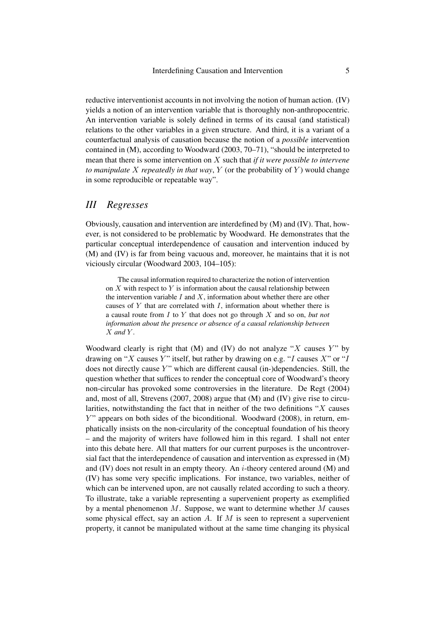reductive interventionist accounts in not involving the notion of human action. (IV) yields a notion of an intervention variable that is thoroughly non-anthropocentric. An intervention variable is solely defined in terms of its causal (and statistical) relations to the other variables in a given structure. And third, it is a variant of a counterfactual analysis of causation because the notion of a *possible* intervention contained in (M), according to Woodward (2003, 70–71), "should be interpreted to mean that there is some intervention on X such that *if it were possible to intervene to manipulate*  $X$  *repeatedly in that way, Y* (or the probability of Y) would change in some reproducible or repeatable way".

## *III Regresses*

Obviously, causation and intervention are interdefined by (M) and (IV). That, however, is not considered to be problematic by Woodward. He demonstrates that the particular conceptual interdependence of causation and intervention induced by (M) and (IV) is far from being vacuous and, moreover, he maintains that it is not viciously circular (Woodward 2003, 104–105):

The causal information required to characterize the notion of intervention on  $X$  with respect to  $Y$  is information about the causal relationship between the intervention variable  $I$  and  $X$ , information about whether there are other causes of  $Y$  that are correlated with  $I$ , information about whether there is a causal route from I to Y that does not go through X and so on, *but not information about the presence or absence of a causal relationship between* X *and* Y .

Woodward clearly is right that  $(M)$  and  $(IV)$  do not analyze "X causes Y" by drawing on "X causes Y" itself, but rather by drawing on e.g. "I causes X" or "I does not directly cause  $Y$ " which are different causal (in-)dependencies. Still, the question whether that suffices to render the conceptual core of Woodward's theory non-circular has provoked some controversies in the literature. De Regt (2004) and, most of all, Strevens (2007, 2008) argue that (M) and (IV) give rise to circularities, notwithstanding the fact that in neither of the two definitions " $X$  causes  $Y$ " appears on both sides of the biconditional. Woodward (2008), in return, emphatically insists on the non-circularity of the conceptual foundation of his theory – and the majority of writers have followed him in this regard. I shall not enter into this debate here. All that matters for our current purposes is the uncontroversial fact that the interdependence of causation and intervention as expressed in (M) and  $(IV)$  does not result in an empty theory. An *i*-theory centered around  $(M)$  and (IV) has some very specific implications. For instance, two variables, neither of which can be intervened upon, are not causally related according to such a theory. To illustrate, take a variable representing a supervenient property as exemplified by a mental phenomenon  $M$ . Suppose, we want to determine whether  $M$  causes some physical effect, say an action A. If  $M$  is seen to represent a supervenient property, it cannot be manipulated without at the same time changing its physical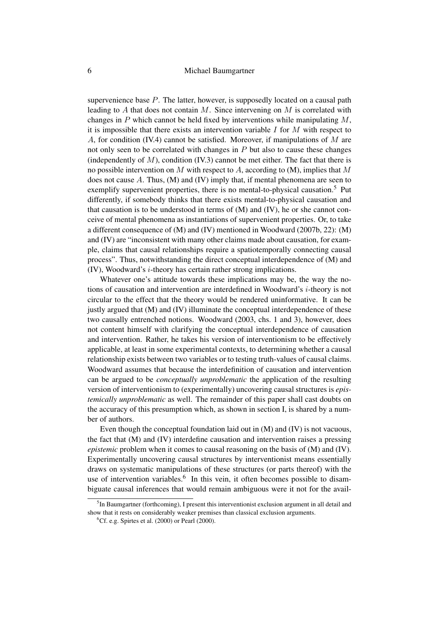#### 6 Michael Baumgartner

supervenience base  $P$ . The latter, however, is supposedly located on a causal path leading to A that does not contain M. Since intervening on  $M$  is correlated with changes in P which cannot be held fixed by interventions while manipulating  $M$ , it is impossible that there exists an intervention variable I for  $M$  with respect to A, for condition (IV.4) cannot be satisfied. Moreover, if manipulations of M are not only seen to be correlated with changes in  $P$  but also to cause these changes (independently of  $M$ ), condition (IV.3) cannot be met either. The fact that there is no possible intervention on M with respect to A, according to  $(M)$ , implies that M does not cause  $A$ . Thus,  $(M)$  and  $(IV)$  imply that, if mental phenomena are seen to exemplify supervenient properties, there is no mental-to-physical causation.<sup>5</sup> Put differently, if somebody thinks that there exists mental-to-physical causation and that causation is to be understood in terms of (M) and (IV), he or she cannot conceive of mental phenomena as instantiations of supervenient properties. Or, to take a different consequence of (M) and (IV) mentioned in Woodward (2007b, 22): (M) and (IV) are "inconsistent with many other claims made about causation, for example, claims that causal relationships require a spatiotemporally connecting causal process". Thus, notwithstanding the direct conceptual interdependence of (M) and (IV), Woodward's i-theory has certain rather strong implications.

Whatever one's attitude towards these implications may be, the way the notions of causation and intervention are interdefined in Woodward's *i*-theory is not circular to the effect that the theory would be rendered uninformative. It can be justly argued that (M) and (IV) illuminate the conceptual interdependence of these two causally entrenched notions. Woodward (2003, chs. 1 and 3), however, does not content himself with clarifying the conceptual interdependence of causation and intervention. Rather, he takes his version of interventionism to be effectively applicable, at least in some experimental contexts, to determining whether a causal relationship exists between two variables or to testing truth-values of causal claims. Woodward assumes that because the interdefinition of causation and intervention can be argued to be *conceptually unproblematic* the application of the resulting version of interventionism to (experimentally) uncovering causal structures is *epistemically unproblematic* as well. The remainder of this paper shall cast doubts on the accuracy of this presumption which, as shown in section I, is shared by a number of authors.

Even though the conceptual foundation laid out in (M) and (IV) is not vacuous, the fact that (M) and (IV) interdefine causation and intervention raises a pressing *epistemic* problem when it comes to causal reasoning on the basis of (M) and (IV). Experimentally uncovering causal structures by interventionist means essentially draws on systematic manipulations of these structures (or parts thereof) with the use of intervention variables.<sup>6</sup> In this vein, it often becomes possible to disambiguate causal inferences that would remain ambiguous were it not for the avail-

<sup>&</sup>lt;sup>5</sup>In Baumgartner (forthcoming), I present this interventionist exclusion argument in all detail and show that it rests on considerably weaker premises than classical exclusion arguments.

 ${}^{6}$ Cf. e.g. Spirtes et al. (2000) or Pearl (2000).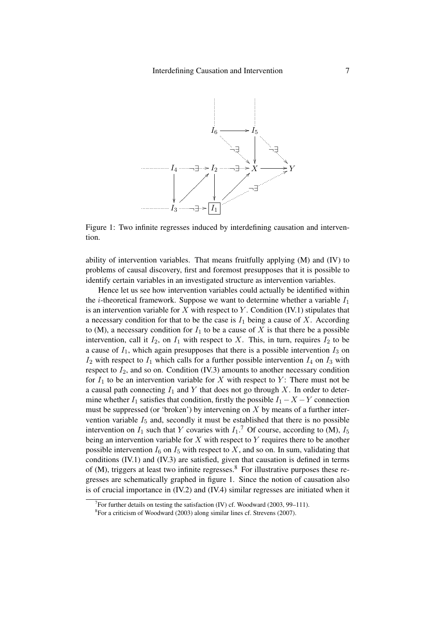

Figure 1: Two infinite regresses induced by interdefining causation and intervention.

ability of intervention variables. That means fruitfully applying (M) and (IV) to problems of causal discovery, first and foremost presupposes that it is possible to identify certain variables in an investigated structure as intervention variables.

Hence let us see how intervention variables could actually be identified within the *i*-theoretical framework. Suppose we want to determine whether a variable  $I_1$ is an intervention variable for  $X$  with respect to  $Y$ . Condition (IV.1) stipulates that a necessary condition for that to be the case is  $I_1$  being a cause of X. According to (M), a necessary condition for  $I_1$  to be a cause of X is that there be a possible intervention, call it  $I_2$ , on  $I_1$  with respect to X. This, in turn, requires  $I_2$  to be a cause of  $I_1$ , which again presupposes that there is a possible intervention  $I_3$  on  $I_2$  with respect to  $I_1$  which calls for a further possible intervention  $I_4$  on  $I_3$  with respect to  $I_2$ , and so on. Condition (IV.3) amounts to another necessary condition for  $I_1$  to be an intervention variable for X with respect to Y: There must not be a causal path connecting  $I_1$  and Y that does not go through X. In order to determine whether  $I_1$  satisfies that condition, firstly the possible  $I_1 - X - Y$  connection must be suppressed (or 'broken') by intervening on  $X$  by means of a further intervention variable  $I_5$  and, secondly it must be established that there is no possible intervention on  $I_1$  such that Y covaries with  $I_1$ .<sup>7</sup> Of course, according to (M),  $I_5$ being an intervention variable for  $X$  with respect to  $Y$  requires there to be another possible intervention  $I_6$  on  $I_5$  with respect to X, and so on. In sum, validating that conditions (IV.1) and (IV.3) are satisfied, given that causation is defined in terms of  $(M)$ , triggers at least two infinite regresses.<sup>8</sup> For illustrative purposes these regresses are schematically graphed in figure 1. Since the notion of causation also is of crucial importance in (IV.2) and (IV.4) similar regresses are initiated when it

<sup>&</sup>lt;sup>7</sup> For further details on testing the satisfaction (IV) cf. Woodward (2003, 99–111).

<sup>8</sup> For a criticism of Woodward (2003) along similar lines cf. Strevens (2007).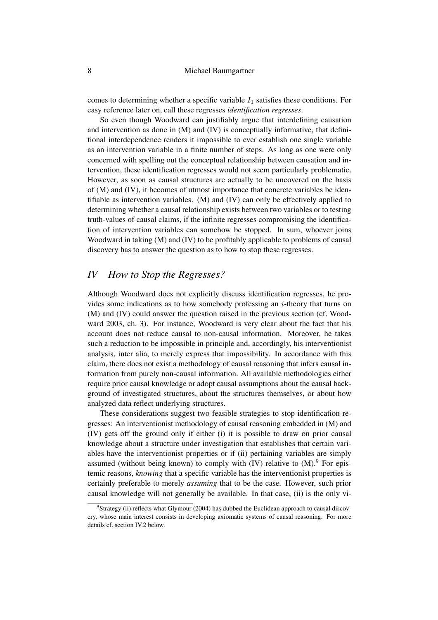### 8 Michael Baumgartner

comes to determining whether a specific variable  $I_1$  satisfies these conditions. For easy reference later on, call these regresses *identification regresses*.

So even though Woodward can justifiably argue that interdefining causation and intervention as done in  $(M)$  and  $(IV)$  is conceptually informative, that definitional interdependence renders it impossible to ever establish one single variable as an intervention variable in a finite number of steps. As long as one were only concerned with spelling out the conceptual relationship between causation and intervention, these identification regresses would not seem particularly problematic. However, as soon as causal structures are actually to be uncovered on the basis of (M) and (IV), it becomes of utmost importance that concrete variables be identifiable as intervention variables.  $(M)$  and  $(IV)$  can only be effectively applied to determining whether a causal relationship exists between two variables or to testing truth-values of causal claims, if the infinite regresses compromising the identification of intervention variables can somehow be stopped. In sum, whoever joins Woodward in taking (M) and (IV) to be profitably applicable to problems of causal discovery has to answer the question as to how to stop these regresses.

## *IV How to Stop the Regresses?*

Although Woodward does not explicitly discuss identification regresses, he provides some indications as to how somebody professing an *i*-theory that turns on (M) and (IV) could answer the question raised in the previous section (cf. Woodward 2003, ch. 3). For instance, Woodward is very clear about the fact that his account does not reduce causal to non-causal information. Moreover, he takes such a reduction to be impossible in principle and, accordingly, his interventionist analysis, inter alia, to merely express that impossibility. In accordance with this claim, there does not exist a methodology of causal reasoning that infers causal information from purely non-causal information. All available methodologies either require prior causal knowledge or adopt causal assumptions about the causal background of investigated structures, about the structures themselves, or about how analyzed data reflect underlying structures.

These considerations suggest two feasible strategies to stop identification regresses: An interventionist methodology of causal reasoning embedded in (M) and (IV) gets off the ground only if either (i) it is possible to draw on prior causal knowledge about a structure under investigation that establishes that certain variables have the interventionist properties or if (ii) pertaining variables are simply assumed (without being known) to comply with  $(IV)$  relative to  $(M)$ <sup>9</sup>. For epistemic reasons, *knowing* that a specific variable has the interventionist properties is certainly preferable to merely *assuming* that to be the case. However, such prior causal knowledge will not generally be available. In that case, (ii) is the only vi-

<sup>&</sup>lt;sup>9</sup>Strategy (ii) reflects what Glymour (2004) has dubbed the Euclidean approach to causal discovery, whose main interest consists in developing axiomatic systems of causal reasoning. For more details cf. section IV.2 below.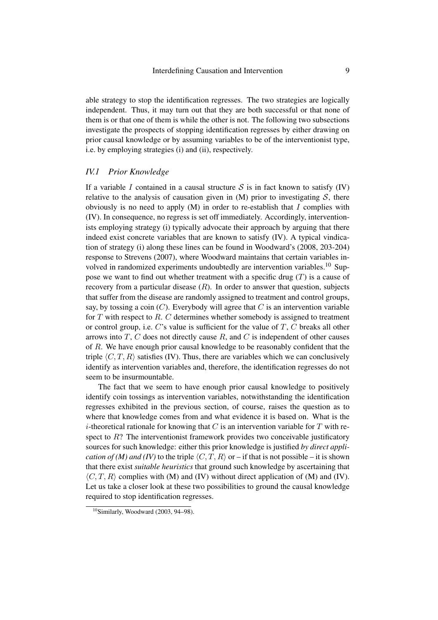able strategy to stop the identification regresses. The two strategies are logically independent. Thus, it may turn out that they are both successful or that none of them is or that one of them is while the other is not. The following two subsections investigate the prospects of stopping identification regresses by either drawing on prior causal knowledge or by assuming variables to be of the interventionist type, i.e. by employing strategies (i) and (ii), respectively.

### *IV.1 Prior Knowledge*

If a variable I contained in a causal structure S is in fact known to satisfy  $(IV)$ relative to the analysis of causation given in  $(M)$  prior to investigating  $S$ , there obviously is no need to apply  $(M)$  in order to re-establish that I complies with (IV). In consequence, no regress is set off immediately. Accordingly, interventionists employing strategy (i) typically advocate their approach by arguing that there indeed exist concrete variables that are known to satisfy (IV). A typical vindication of strategy (i) along these lines can be found in Woodward's (2008, 203-204) response to Strevens (2007), where Woodward maintains that certain variables involved in randomized experiments undoubtedly are intervention variables.<sup>10</sup> Suppose we want to find out whether treatment with a specific drug  $(T)$  is a cause of recovery from a particular disease  $(R)$ . In order to answer that question, subjects that suffer from the disease are randomly assigned to treatment and control groups, say, by tossing a coin  $(C)$ . Everybody will agree that C is an intervention variable for  $T$  with respect to  $R$ .  $C$  determines whether somebody is assigned to treatment or control group, i.e.  $C$ 's value is sufficient for the value of  $T$ ,  $C$  breaks all other arrows into  $T$ ,  $C$  does not directly cause  $R$ , and  $C$  is independent of other causes of R. We have enough prior causal knowledge to be reasonably confident that the triple  $\langle C, T, R \rangle$  satisfies (IV). Thus, there are variables which we can conclusively identify as intervention variables and, therefore, the identification regresses do not seem to be insurmountable.

The fact that we seem to have enough prior causal knowledge to positively identify coin tossings as intervention variables, notwithstanding the identification regresses exhibited in the previous section, of course, raises the question as to where that knowledge comes from and what evidence it is based on. What is the *i*-theoretical rationale for knowing that  $C$  is an intervention variable for  $T$  with respect to  $R$ ? The interventionist framework provides two conceivable justificatory sources for such knowledge: either this prior knowledge is justified *by direct application of (M) and (IV)* to the triple  $\langle C, T, R \rangle$  or – if that is not possible – it is shown that there exist *suitable heuristics* that ground such knowledge by ascertaining that  $\langle C, T, R \rangle$  complies with (M) and (IV) without direct application of (M) and (IV). Let us take a closer look at these two possibilities to ground the causal knowledge required to stop identification regresses.

 $10$ Similarly, Woodward (2003, 94–98).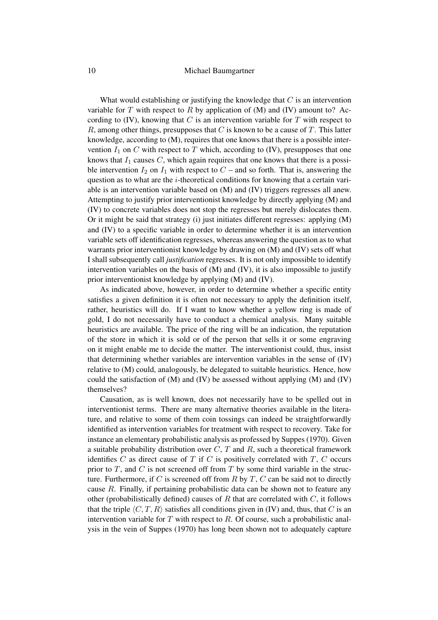## 10 Michael Baumgartner

What would establishing or justifying the knowledge that  $C$  is an intervention variable for  $T$  with respect to  $R$  by application of  $(M)$  and  $(IV)$  amount to? According to (IV), knowing that  $C$  is an intervention variable for  $T$  with respect to R, among other things, presupposes that C is known to be a cause of T. This latter knowledge, according to (M), requires that one knows that there is a possible intervention  $I_1$  on C with respect to T which, according to (IV), presupposes that one knows that  $I_1$  causes  $C$ , which again requires that one knows that there is a possible intervention  $I_2$  on  $I_1$  with respect to  $C$  – and so forth. That is, answering the question as to what are the *i*-theoretical conditions for knowing that a certain variable is an intervention variable based on (M) and (IV) triggers regresses all anew. Attempting to justify prior interventionist knowledge by directly applying (M) and (IV) to concrete variables does not stop the regresses but merely dislocates them. Or it might be said that strategy (i) just initiates different regresses: applying (M) and (IV) to a specific variable in order to determine whether it is an intervention variable sets off identification regresses, whereas answering the question as to what warrants prior interventionist knowledge by drawing on (M) and (IV) sets off what I shall subsequently call *justification* regresses. It is not only impossible to identify intervention variables on the basis of (M) and (IV), it is also impossible to justify prior interventionist knowledge by applying (M) and (IV).

As indicated above, however, in order to determine whether a specific entity satisfies a given definition it is often not necessary to apply the definition itself, rather, heuristics will do. If I want to know whether a yellow ring is made of gold, I do not necessarily have to conduct a chemical analysis. Many suitable heuristics are available. The price of the ring will be an indication, the reputation of the store in which it is sold or of the person that sells it or some engraving on it might enable me to decide the matter. The interventionist could, thus, insist that determining whether variables are intervention variables in the sense of (IV) relative to (M) could, analogously, be delegated to suitable heuristics. Hence, how could the satisfaction of (M) and (IV) be assessed without applying (M) and (IV) themselves?

Causation, as is well known, does not necessarily have to be spelled out in interventionist terms. There are many alternative theories available in the literature, and relative to some of them coin tossings can indeed be straightforwardly identified as intervention variables for treatment with respect to recovery. Take for instance an elementary probabilistic analysis as professed by Suppes (1970). Given a suitable probability distribution over  $C, T$  and  $R$ , such a theoretical framework identifies  $C$  as direct cause of  $T$  if  $C$  is positively correlated with  $T$ ,  $C$  occurs prior to  $T$ , and  $C$  is not screened off from  $T$  by some third variable in the structure. Furthermore, if C is screened off from R by T, C can be said not to directly cause  $R$ . Finally, if pertaining probabilistic data can be shown not to feature any other (probabilistically defined) causes of  $R$  that are correlated with  $C$ , it follows that the triple  $\langle C, T, R \rangle$  satisfies all conditions given in (IV) and, thus, that C is an intervention variable for  $T$  with respect to  $R$ . Of course, such a probabilistic analysis in the vein of Suppes (1970) has long been shown not to adequately capture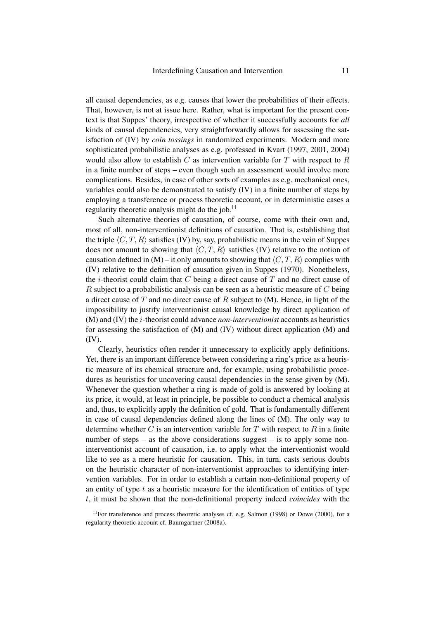all causal dependencies, as e.g. causes that lower the probabilities of their effects. That, however, is not at issue here. Rather, what is important for the present context is that Suppes' theory, irrespective of whether it successfully accounts for *all* kinds of causal dependencies, very straightforwardly allows for assessing the satisfaction of (IV) by *coin tossings* in randomized experiments. Modern and more sophisticated probabilistic analyses as e.g. professed in Kvart (1997, 2001, 2004) would also allow to establish  $C$  as intervention variable for  $T$  with respect to  $R$ in a finite number of steps – even though such an assessment would involve more complications. Besides, in case of other sorts of examples as e.g. mechanical ones, variables could also be demonstrated to satisfy (IV) in a finite number of steps by employing a transference or process theoretic account, or in deterministic cases a regularity theoretic analysis might do the job. $11$ 

Such alternative theories of causation, of course, come with their own and, most of all, non-interventionist definitions of causation. That is, establishing that the triple  $\langle C, T, R \rangle$  satisfies (IV) by, say, probabilistic means in the vein of Suppes does not amount to showing that  $\langle C, T, R \rangle$  satisfies (IV) relative to the notion of causation defined in  $(M)$  – it only amounts to showing that  $\langle C, T, R \rangle$  complies with (IV) relative to the definition of causation given in Suppes (1970). Nonetheless, the *i*-theorist could claim that  $C$  being a direct cause of  $T$  and no direct cause of R subject to a probabilistic analysis can be seen as a heuristic measure of  $C$  being a direct cause of  $T$  and no direct cause of  $R$  subject to  $(M)$ . Hence, in light of the impossibility to justify interventionist causal knowledge by direct application of (M) and (IV) the i-theorist could advance *non-interventionist* accounts as heuristics for assessing the satisfaction of (M) and (IV) without direct application (M) and (IV).

Clearly, heuristics often render it unnecessary to explicitly apply definitions. Yet, there is an important difference between considering a ring's price as a heuristic measure of its chemical structure and, for example, using probabilistic procedures as heuristics for uncovering causal dependencies in the sense given by (M). Whenever the question whether a ring is made of gold is answered by looking at its price, it would, at least in principle, be possible to conduct a chemical analysis and, thus, to explicitly apply the definition of gold. That is fundamentally different in case of causal dependencies defined along the lines of (M). The only way to determine whether  $C$  is an intervention variable for  $T$  with respect to  $R$  in a finite number of steps – as the above considerations suggest – is to apply some noninterventionist account of causation, i.e. to apply what the interventionist would like to see as a mere heuristic for causation. This, in turn, casts serious doubts on the heuristic character of non-interventionist approaches to identifying intervention variables. For in order to establish a certain non-definitional property of an entity of type  $t$  as a heuristic measure for the identification of entities of type t, it must be shown that the non-definitional property indeed *coincides* with the

 $11$ For transference and process theoretic analyses cf. e.g. Salmon (1998) or Dowe (2000), for a regularity theoretic account cf. Baumgartner (2008a).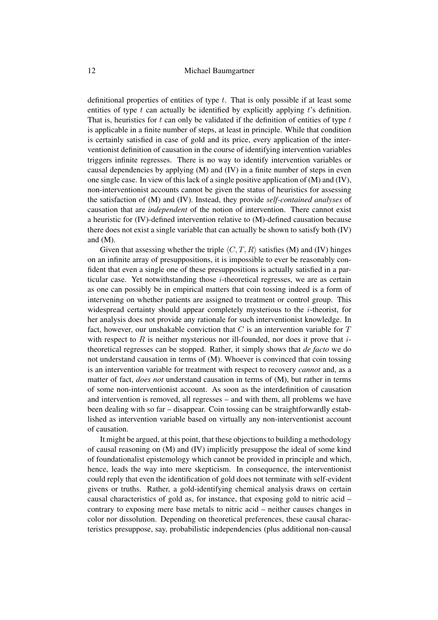definitional properties of entities of type  $t$ . That is only possible if at least some entities of type  $t$  can actually be identified by explicitly applying  $t$ 's definition. That is, heuristics for  $t$  can only be validated if the definition of entities of type  $t$ is applicable in a finite number of steps, at least in principle. While that condition is certainly satisfied in case of gold and its price, every application of the interventionist definition of causation in the course of identifying intervention variables triggers infinite regresses. There is no way to identify intervention variables or causal dependencies by applying (M) and (IV) in a finite number of steps in even one single case. In view of this lack of a single positive application of  $(M)$  and  $(IV)$ , non-interventionist accounts cannot be given the status of heuristics for assessing the satisfaction of (M) and (IV). Instead, they provide *self-contained analyses* of causation that are *independent* of the notion of intervention. There cannot exist a heuristic for (IV)-defined intervention relative to (M)-defined causation because there does not exist a single variable that can actually be shown to satisfy both (IV) and (M).

Given that assessing whether the triple  $\langle C, T, R \rangle$  satisfies (M) and (IV) hinges on an infinite array of presuppositions, it is impossible to ever be reasonably confident that even a single one of these presuppositions is actually satisfied in a particular case. Yet notwithstanding those  $i$ -theoretical regresses, we are as certain as one can possibly be in empirical matters that coin tossing indeed is a form of intervening on whether patients are assigned to treatment or control group. This widespread certainty should appear completely mysterious to the  $i$ -theorist, for her analysis does not provide any rationale for such interventionist knowledge. In fact, however, our unshakable conviction that  $C$  is an intervention variable for  $T$ with respect to R is neither mysterious nor ill-founded, nor does it prove that  $i$ theoretical regresses can be stopped. Rather, it simply shows that *de facto* we do not understand causation in terms of (M). Whoever is convinced that coin tossing is an intervention variable for treatment with respect to recovery *cannot* and, as a matter of fact, *does not* understand causation in terms of (M), but rather in terms of some non-interventionist account. As soon as the interdefinition of causation and intervention is removed, all regresses – and with them, all problems we have been dealing with so far – disappear. Coin tossing can be straightforwardly established as intervention variable based on virtually any non-interventionist account of causation.

It might be argued, at this point, that these objections to building a methodology of causal reasoning on (M) and (IV) implicitly presuppose the ideal of some kind of foundationalist epistemology which cannot be provided in principle and which, hence, leads the way into mere skepticism. In consequence, the interventionist could reply that even the identification of gold does not terminate with self-evident givens or truths. Rather, a gold-identifying chemical analysis draws on certain causal characteristics of gold as, for instance, that exposing gold to nitric acid – contrary to exposing mere base metals to nitric acid – neither causes changes in color nor dissolution. Depending on theoretical preferences, these causal characteristics presuppose, say, probabilistic independencies (plus additional non-causal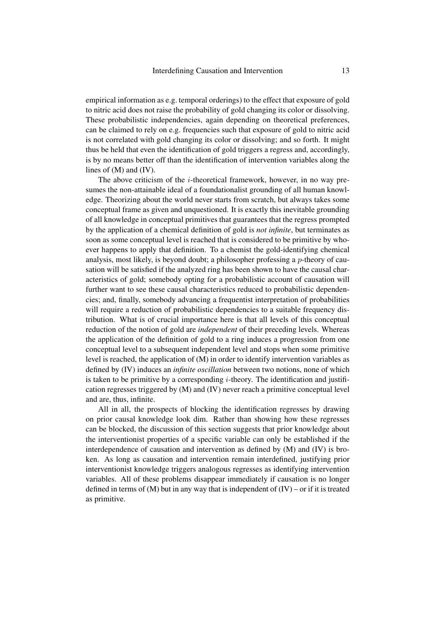empirical information as e.g. temporal orderings) to the effect that exposure of gold to nitric acid does not raise the probability of gold changing its color or dissolving. These probabilistic independencies, again depending on theoretical preferences, can be claimed to rely on e.g. frequencies such that exposure of gold to nitric acid is not correlated with gold changing its color or dissolving; and so forth. It might thus be held that even the identification of gold triggers a regress and, accordingly, is by no means better off than the identification of intervention variables along the lines of (M) and (IV).

The above criticism of the *i*-theoretical framework, however, in no way presumes the non-attainable ideal of a foundationalist grounding of all human knowledge. Theorizing about the world never starts from scratch, but always takes some conceptual frame as given and unquestioned. It is exactly this inevitable grounding of all knowledge in conceptual primitives that guarantees that the regress prompted by the application of a chemical definition of gold is *not infinite*, but terminates as soon as some conceptual level is reached that is considered to be primitive by whoever happens to apply that definition. To a chemist the gold-identifying chemical analysis, most likely, is beyond doubt; a philosopher professing a p-theory of causation will be satisfied if the analyzed ring has been shown to have the causal characteristics of gold; somebody opting for a probabilistic account of causation will further want to see these causal characteristics reduced to probabilistic dependencies; and, finally, somebody advancing a frequentist interpretation of probabilities will require a reduction of probabilistic dependencies to a suitable frequency distribution. What is of crucial importance here is that all levels of this conceptual reduction of the notion of gold are *independent* of their preceding levels. Whereas the application of the definition of gold to a ring induces a progression from one conceptual level to a subsequent independent level and stops when some primitive level is reached, the application of (M) in order to identify intervention variables as defined by (IV) induces an *infinite oscillation* between two notions, none of which is taken to be primitive by a corresponding  $i$ -theory. The identification and justification regresses triggered by (M) and (IV) never reach a primitive conceptual level and are, thus, infinite.

All in all, the prospects of blocking the identification regresses by drawing on prior causal knowledge look dim. Rather than showing how these regresses can be blocked, the discussion of this section suggests that prior knowledge about the interventionist properties of a specific variable can only be established if the interdependence of causation and intervention as defined by (M) and (IV) is broken. As long as causation and intervention remain interdefined, justifying prior interventionist knowledge triggers analogous regresses as identifying intervention variables. All of these problems disappear immediately if causation is no longer defined in terms of  $(M)$  but in any way that is independent of  $(IV)$  – or if it is treated as primitive.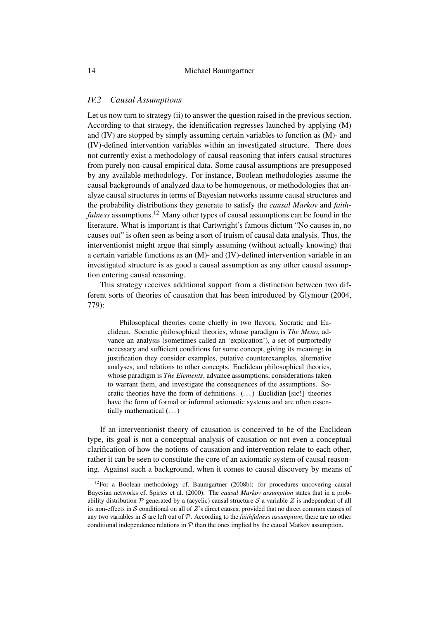#### *IV.2 Causal Assumptions*

Let us now turn to strategy (ii) to answer the question raised in the previous section. According to that strategy, the identification regresses launched by applying (M) and (IV) are stopped by simply assuming certain variables to function as (M)- and (IV)-defined intervention variables within an investigated structure. There does not currently exist a methodology of causal reasoning that infers causal structures from purely non-causal empirical data. Some causal assumptions are presupposed by any available methodology. For instance, Boolean methodologies assume the causal backgrounds of analyzed data to be homogenous, or methodologies that analyze causal structures in terms of Bayesian networks assume causal structures and the probability distributions they generate to satisfy the *causal Markov* and *faithfulness* assumptions.<sup>12</sup> Many other types of causal assumptions can be found in the literature. What is important is that Cartwright's famous dictum "No causes in, no causes out" is often seen as being a sort of truism of causal data analysis. Thus, the interventionist might argue that simply assuming (without actually knowing) that a certain variable functions as an (M)- and (IV)-defined intervention variable in an investigated structure is as good a causal assumption as any other causal assumption entering causal reasoning.

This strategy receives additional support from a distinction between two different sorts of theories of causation that has been introduced by Glymour (2004, 779):

Philosophical theories come chiefly in two flavors, Socratic and Euclidean. Socratic philosophical theories, whose paradigm is *The Meno*, advance an analysis (sometimes called an 'explication'), a set of purportedly necessary and sufficient conditions for some concept, giving its meaning; in justification they consider examples, putative counterexamples, alternative analyses, and relations to other concepts. Euclidean philosophical theories, whose paradigm is *The Elements*, advance assumptions, considerations taken to warrant them, and investigate the consequences of the assumptions. Socratic theories have the form of definitions. (. . . ) Euclidian [sic!] theories have the form of formal or informal axiomatic systems and are often essentially mathematical (. . . )

If an interventionist theory of causation is conceived to be of the Euclidean type, its goal is not a conceptual analysis of causation or not even a conceptual clarification of how the notions of causation and intervention relate to each other, rather it can be seen to constitute the core of an axiomatic system of causal reasoning. Against such a background, when it comes to causal discovery by means of

 $12$ For a Boolean methodology cf. Baumgartner (2008b); for procedures uncovering causal Bayesian networks cf. Spirtes et al. (2000). The *causal Markov assumption* states that in a probability distribution  $P$  generated by a (acyclic) causal structure  $S$  a variable  $Z$  is independent of all its non-effects in  $S$  conditional on all of  $Z$ 's direct causes, provided that no direct common causes of any two variables in S are left out of P. According to the *faithfulness assumption*, there are no other conditional independence relations in  $\mathcal P$  than the ones implied by the causal Markov assumption.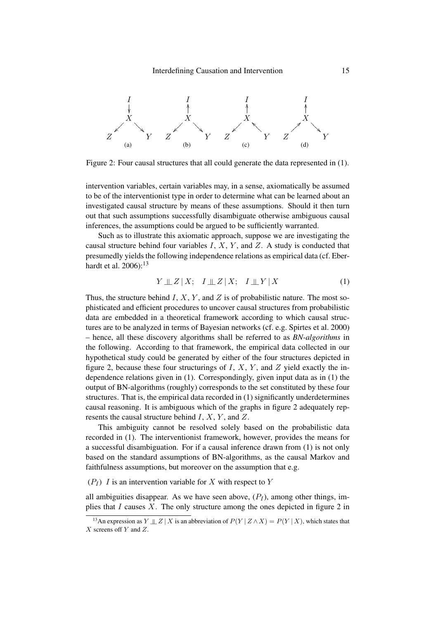

Figure 2: Four causal structures that all could generate the data represented in (1).

intervention variables, certain variables may, in a sense, axiomatically be assumed to be of the interventionist type in order to determine what can be learned about an investigated causal structure by means of these assumptions. Should it then turn out that such assumptions successfully disambiguate otherwise ambiguous causal inferences, the assumptions could be argued to be sufficiently warranted.

Such as to illustrate this axiomatic approach, suppose we are investigating the causal structure behind four variables  $I, X, Y$ , and  $Z$ . A study is conducted that presumedly yields the following independence relations as empirical data (cf. Eberhardt et al.  $2006$ :<sup>13</sup>

$$
Y \perp\!\!\!\perp Z | X; I \perp\!\!\!\perp Z | X; I \perp\!\!\!\perp Y | X \tag{1}
$$

Thus, the structure behind I, X, Y, and Z is of probabilistic nature. The most sophisticated and efficient procedures to uncover causal structures from probabilistic data are embedded in a theoretical framework according to which causal structures are to be analyzed in terms of Bayesian networks (cf. e.g. Spirtes et al. 2000) – hence, all these discovery algorithms shall be referred to as *BN-algorithms* in the following. According to that framework, the empirical data collected in our hypothetical study could be generated by either of the four structures depicted in figure 2, because these four structurings of  $I, X, Y$ , and  $Z$  yield exactly the independence relations given in (1). Correspondingly, given input data as in (1) the output of BN-algorithms (roughly) corresponds to the set constituted by these four structures. That is, the empirical data recorded in (1) significantly underdetermines causal reasoning. It is ambiguous which of the graphs in figure 2 adequately represents the causal structure behind  $I, X, Y$ , and  $Z$ .

This ambiguity cannot be resolved solely based on the probabilistic data recorded in (1). The interventionist framework, however, provides the means for a successful disambiguation. For if a causal inference drawn from (1) is not only based on the standard assumptions of BN-algorithms, as the causal Markov and faithfulness assumptions, but moreover on the assumption that e.g.

 $(P<sub>I</sub>)$  I is an intervention variable for X with respect to Y

all ambiguities disappear. As we have seen above,  $(P<sub>I</sub>)$ , among other things, implies that  $I$  causes  $X$ . The only structure among the ones depicted in figure 2 in

<sup>&</sup>lt;sup>13</sup>An expression as Y  $||Z|X$  is an abbreviation of  $P(Y|Z \wedge X) = P(Y|X)$ , which states that  $X$  screens off Y and Z.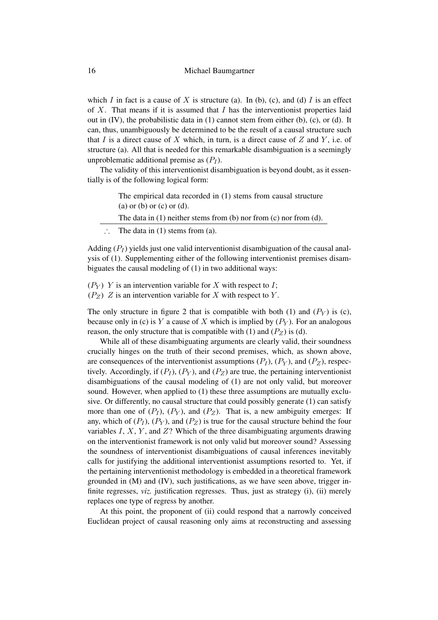which I in fact is a cause of X is structure (a). In (b), (c), and (d) I is an effect of X. That means if it is assumed that  $I$  has the interventionist properties laid out in  $(IV)$ , the probabilistic data in  $(1)$  cannot stem from either  $(b)$ ,  $(c)$ , or  $(d)$ . It can, thus, unambiguously be determined to be the result of a causal structure such that  $I$  is a direct cause of  $X$  which, in turn, is a direct cause of  $Z$  and  $Y$ , i.e. of structure (a). All that is needed for this remarkable disambiguation is a seemingly unproblematic additional premise as  $(P<sub>I</sub>)$ .

The validity of this interventionist disambiguation is beyond doubt, as it essentially is of the following logical form:

> The empirical data recorded in (1) stems from causal structure (a) or  $(b)$  or  $(c)$  or  $(d)$ .

- The data in (1) neither stems from (b) nor from (c) nor from (d).
- ∴ The data in (1) stems from (a).

Adding  $(P_I)$  yields just one valid interventionist disambiguation of the causal analysis of (1). Supplementing either of the following interventionist premises disambiguates the causal modeling of (1) in two additional ways:

 $(P_Y)$  Y is an intervention variable for X with respect to I;

 $(P_Z)$  Z is an intervention variable for X with respect to Y.

The only structure in figure 2 that is compatible with both (1) and  $(P_Y)$  is (c), because only in (c) is Y a cause of X which is implied by  $(P_Y)$ . For an analogous reason, the only structure that is compatible with (1) and  $(P_Z)$  is (d).

While all of these disambiguating arguments are clearly valid, their soundness crucially hinges on the truth of their second premises, which, as shown above, are consequences of the interventionist assumptions  $(P_I)$ ,  $(P_Y)$ , and  $(P_Z)$ , respectively. Accordingly, if  $(P_I)$ ,  $(P_Y)$ , and  $(P_Z)$  are true, the pertaining interventionist disambiguations of the causal modeling of (1) are not only valid, but moreover sound. However, when applied to (1) these three assumptions are mutually exclusive. Or differently, no causal structure that could possibly generate (1) can satisfy more than one of  $(P_I)$ ,  $(P_Y)$ , and  $(P_Z)$ . That is, a new ambiguity emerges: If any, which of  $(P<sub>I</sub>)$ ,  $(P<sub>Y</sub>)$ , and  $(P<sub>Z</sub>)$  is true for the causal structure behind the four variables  $I, X, Y$ , and  $Z$ ? Which of the three disambiguating arguments drawing on the interventionist framework is not only valid but moreover sound? Assessing the soundness of interventionist disambiguations of causal inferences inevitably calls for justifying the additional interventionist assumptions resorted to. Yet, if the pertaining interventionist methodology is embedded in a theoretical framework grounded in (M) and (IV), such justifications, as we have seen above, trigger infinite regresses, *viz.* justification regresses. Thus, just as strategy (i), (ii) merely replaces one type of regress by another.

At this point, the proponent of (ii) could respond that a narrowly conceived Euclidean project of causal reasoning only aims at reconstructing and assessing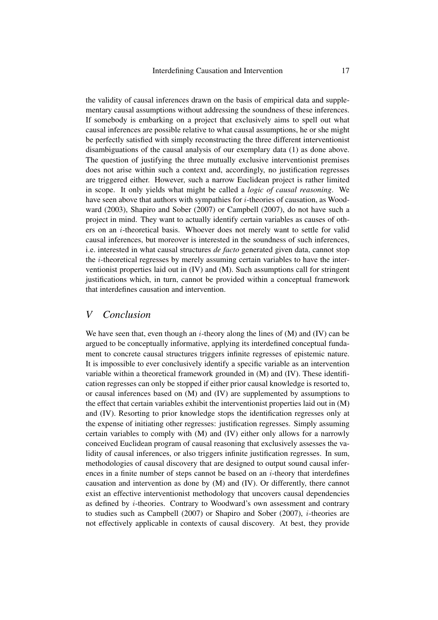the validity of causal inferences drawn on the basis of empirical data and supplementary causal assumptions without addressing the soundness of these inferences. If somebody is embarking on a project that exclusively aims to spell out what causal inferences are possible relative to what causal assumptions, he or she might be perfectly satisfied with simply reconstructing the three different interventionist disambiguations of the causal analysis of our exemplary data (1) as done above. The question of justifying the three mutually exclusive interventionist premises does not arise within such a context and, accordingly, no justification regresses are triggered either. However, such a narrow Euclidean project is rather limited in scope. It only yields what might be called a *logic of causal reasoning*. We have seen above that authors with sympathies for  $i$ -theories of causation, as Woodward (2003), Shapiro and Sober (2007) or Campbell (2007), do not have such a project in mind. They want to actually identify certain variables as causes of others on an i-theoretical basis. Whoever does not merely want to settle for valid causal inferences, but moreover is interested in the soundness of such inferences, i.e. interested in what causal structures *de facto* generated given data, cannot stop the i-theoretical regresses by merely assuming certain variables to have the interventionist properties laid out in (IV) and (M). Such assumptions call for stringent justifications which, in turn, cannot be provided within a conceptual framework that interdefines causation and intervention.

## *V Conclusion*

We have seen that, even though an *i*-theory along the lines of  $(M)$  and  $(IV)$  can be argued to be conceptually informative, applying its interdefined conceptual fundament to concrete causal structures triggers infinite regresses of epistemic nature. It is impossible to ever conclusively identify a specific variable as an intervention variable within a theoretical framework grounded in (M) and (IV). These identification regresses can only be stopped if either prior causal knowledge is resorted to, or causal inferences based on (M) and (IV) are supplemented by assumptions to the effect that certain variables exhibit the interventionist properties laid out in (M) and (IV). Resorting to prior knowledge stops the identification regresses only at the expense of initiating other regresses: justification regresses. Simply assuming certain variables to comply with (M) and (IV) either only allows for a narrowly conceived Euclidean program of causal reasoning that exclusively assesses the validity of causal inferences, or also triggers infinite justification regresses. In sum, methodologies of causal discovery that are designed to output sound causal inferences in a finite number of steps cannot be based on an *i*-theory that interdefines causation and intervention as done by (M) and (IV). Or differently, there cannot exist an effective interventionist methodology that uncovers causal dependencies as defined by i-theories. Contrary to Woodward's own assessment and contrary to studies such as Campbell (2007) or Shapiro and Sober (2007),  $i$ -theories are not effectively applicable in contexts of causal discovery. At best, they provide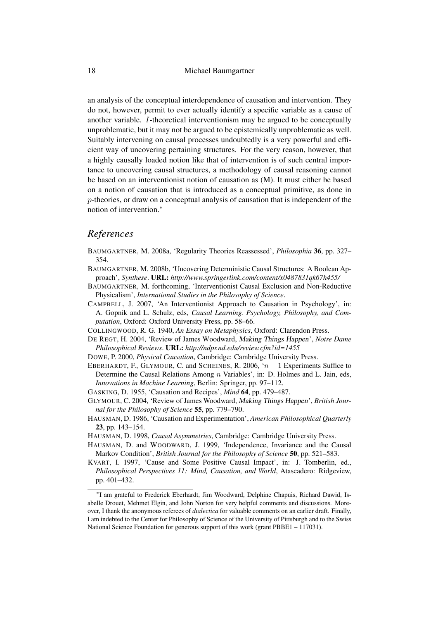an analysis of the conceptual interdependence of causation and intervention. They do not, however, permit to ever actually identify a specific variable as a cause of another variable. I-theoretical interventionism may be argued to be conceptually unproblematic, but it may not be argued to be epistemically unproblematic as well. Suitably intervening on causal processes undoubtedly is a very powerful and efficient way of uncovering pertaining structures. For the very reason, however, that a highly causally loaded notion like that of intervention is of such central importance to uncovering causal structures, a methodology of causal reasoning cannot be based on an interventionist notion of causation as (M). It must either be based on a notion of causation that is introduced as a conceptual primitive, as done in p-theories, or draw on a conceptual analysis of causation that is independent of the notion of intervention.<sup>∗</sup>

## *References*

- BAUMGARTNER, M. 2008a, 'Regularity Theories Reassessed', *Philosophia* 36, pp. 327– 354.
- BAUMGARTNER, M. 2008b, 'Uncovering Deterministic Causal Structures: A Boolean Approach', *Synthese*. URL: *http://www.springerlink.com/content/x0487831qk67h455/*
- BAUMGARTNER, M. forthcoming, 'Interventionist Causal Exclusion and Non-Reductive Physicalism', *International Studies in the Philosophy of Science*.
- CAMPBELL, J. 2007, 'An Interventionist Approach to Causation in Psychology', in: A. Gopnik and L. Schulz, eds, *Causal Learning. Psychology, Philosophy, and Computation*, Oxford: Oxford University Press, pp. 58–66.
- COLLINGWOOD, R. G. 1940, *An Essay on Metaphysics*, Oxford: Clarendon Press.
- DE REGT, H. 2004, 'Review of James Woodward, Making Things Happen', *Notre Dame Philosophical Reviews*. URL: *http://ndpr.nd.edu/review.cfm?id=1455*
- DOWE, P. 2000, *Physical Causation*, Cambridge: Cambridge University Press.
- EBERHARDT, F., GLYMOUR, C. and SCHEINES, R. 2006, ' $n-1$  Experiments Suffice to Determine the Causal Relations Among n Variables', in: D. Holmes and L. Jain, eds, *Innovations in Machine Learning*, Berlin: Springer, pp. 97–112.
- GASKING, D. 1955, 'Causation and Recipes', *Mind* 64, pp. 479–487.
- GLYMOUR, C. 2004, 'Review of James Woodward, Making Things Happen', *British Journal for the Philosophy of Science* 55, pp. 779–790.
- HAUSMAN, D. 1986, 'Causation and Experimentation', *American Philosophical Quarterly* 23, pp. 143–154.
- HAUSMAN, D. 1998, *Causal Asymmetries*, Cambridge: Cambridge University Press.
- HAUSMAN, D. and WOODWARD, J. 1999, 'Independence, Invariance and the Causal Markov Condition', *British Journal for the Philosophy of Science* 50, pp. 521–583.
- KVART, I. 1997, 'Cause and Some Positive Causal Impact', in: J. Tomberlin, ed., *Philosophical Perspectives 11: Mind, Causation, and World*, Atascadero: Ridgeview, pp. 401–432.

<sup>∗</sup> I am grateful to Frederick Eberhardt, Jim Woodward, Delphine Chapuis, Richard Dawid, Isabelle Drouet, Mehmet Elgin, and John Norton for very helpful comments and discussions. Moreover, I thank the anonymous referees of *dialectica* for valuable comments on an earlier draft. Finally, I am indebted to the Center for Philosophy of Science of the University of Pittsburgh and to the Swiss National Science Foundation for generous support of this work (grant PBBE1 – 117031).